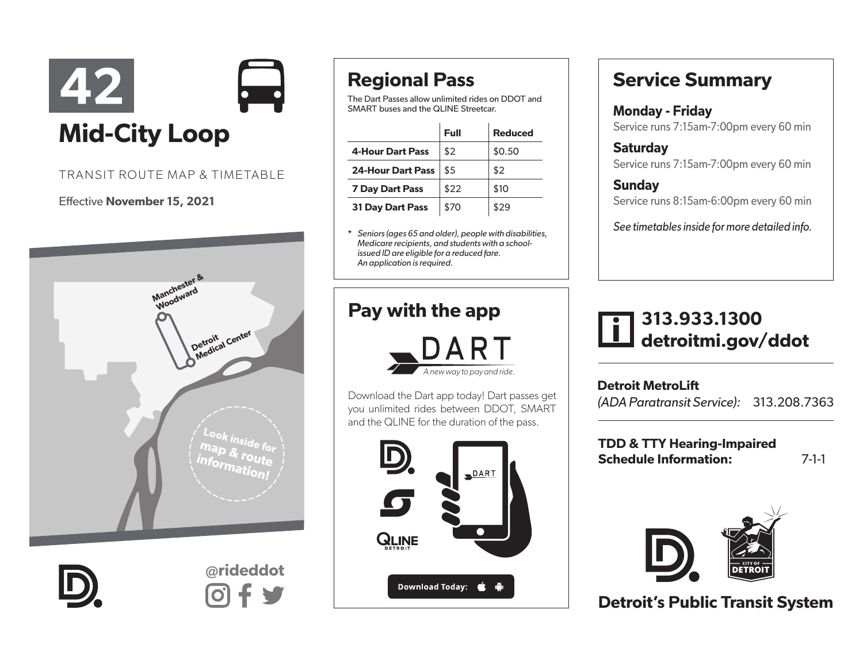

#### TRANSIT ROUTE MAP & TIMETABLE

#### Effective November 15, 2021





@rideddot

## Regional Pass

The Dart Passes allow unlimited rides on DDOT and SMART buses and the QLINE Streetcar.

|                          | Full | <b>Reduced</b> |
|--------------------------|------|----------------|
| <b>4-Hour Dart Pass</b>  | \$2  | \$0.50         |
| <b>24-Hour Dart Pass</b> | \$5  | \$2            |
| <b>7 Day Dart Pass</b>   | \$22 | \$10           |
| <b>31 Day Dart Pass</b>  | \$70 | \$29           |

\* *Seniors (ages 65 and older), people with disabilities, Medicare recipients, and students with a schoolissued ID are eligible for a reduced fare. An application is required.* 

#### Pay with the app



Download the Dart app today! Dart passes get you unlimited rides between DDOT, SMART and the QLINE for the duration of the pass.



### Service Summary

Monday - Friday Service runs 7:15am-7:00pm every 60 min

**Saturday** Service runs 7:15am-7:00pm every 60 min

Sunday Service runs 8:15am-6:00pm every 60 min

*See timetables inside for more detailed info.*

#### 313.933.1300 detroitmi.gov/ddot

Detroit MetroLift *(ADA Paratransit Service):* 313.208.7363

TDD & TTY Hearing-Impaired Schedule Information: 7-1-1



Detroit's Public Transit System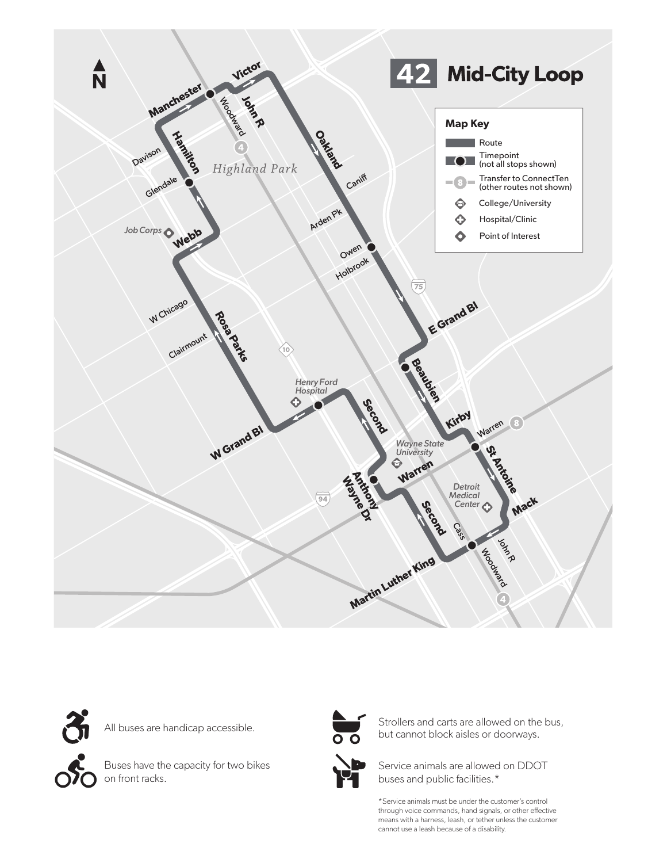



All buses are handicap accessible.

Buses have the capacity for two bikes on front racks.



Strollers and carts are allowed on the bus, but cannot block aisles or doorways.

Service animals are allowed on DDOT buses and public facilities.\*

\*Service animals must be under the customer's control through voice commands, hand signals, or other effective means with a harness, leash, or tether unless the customer cannot use a leash because of a disability.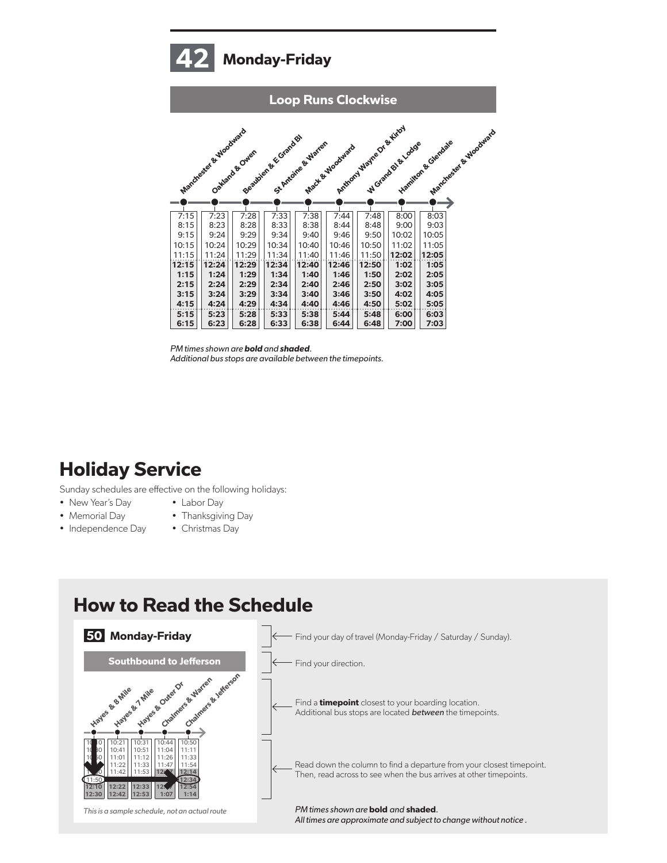# Monday-Friday



*PM times shown are* bold *and* shaded*. Additional bus stops are available between the timepoints.*

### Holiday Service

Sunday schedules are effective on the following holidays:

- New Year's Day
- Memorial Day
- Independence Day
- Thanksgiving Day • Christmas Day

• Labor Day